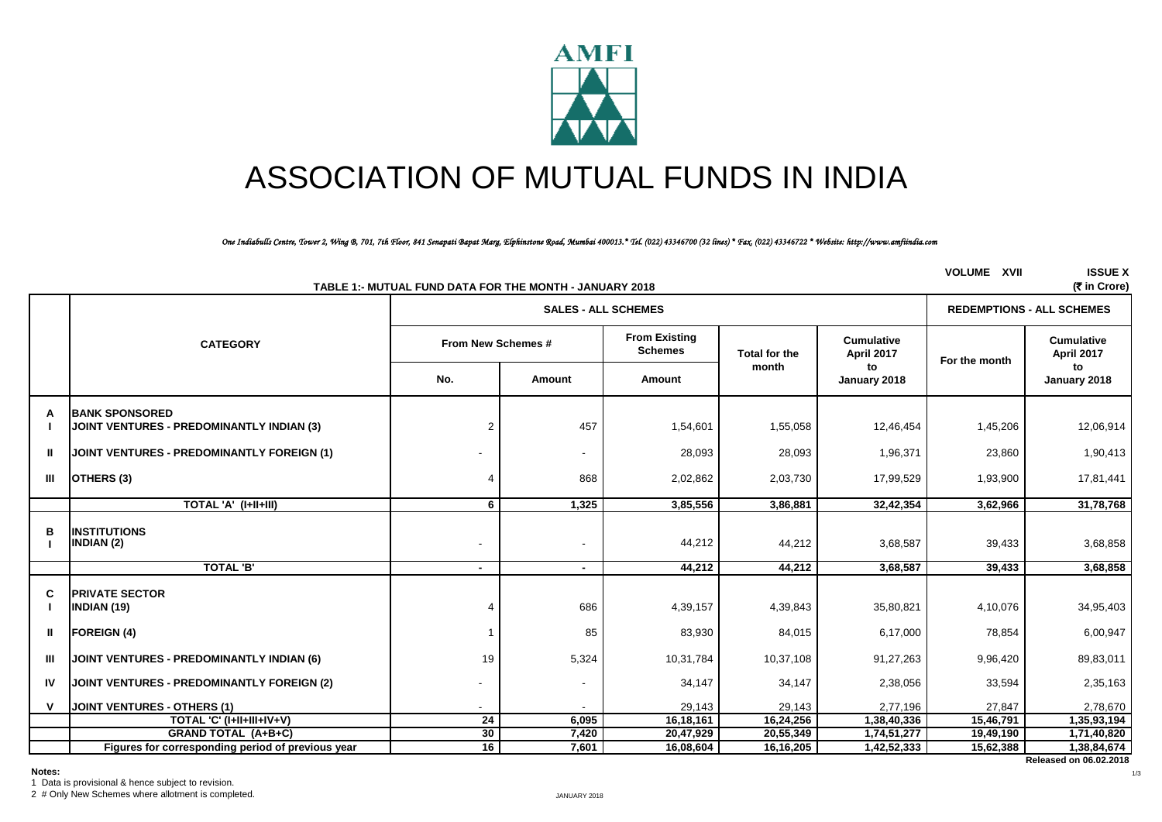

# ASSOCIATION OF MUTUAL FUNDS IN INDIA

*One Indiabulls Centre, Tower 2, Wing B, 701, 7th Floor, 841 Senapati Bapat Marg, Elphinstone Road, Mumbai 400013.\* Tel. (022) 43346700 (32 lines) \* Fax. (022) 43346722 \* Website: http://www.amfiindia.com*

|              |                                                                     | TABLE 1:- MUTUAL FUND DATA FOR THE MONTH - JANUARY 2018 |                            |                                        |                      |                                 | <b>VOLUME XVII</b> | <b>ISSUE X</b><br>(₹ in Crore)   |  |
|--------------|---------------------------------------------------------------------|---------------------------------------------------------|----------------------------|----------------------------------------|----------------------|---------------------------------|--------------------|----------------------------------|--|
|              |                                                                     |                                                         | <b>SALES - ALL SCHEMES</b> |                                        |                      |                                 |                    | <b>REDEMPTIONS - ALL SCHEMES</b> |  |
|              | <b>CATEGORY</b>                                                     | From New Schemes #                                      |                            | <b>From Existing</b><br><b>Schemes</b> | <b>Total for the</b> | <b>Cumulative</b><br>April 2017 | For the month      | <b>Cumulative</b><br>April 2017  |  |
|              |                                                                     | No.                                                     | Amount                     | Amount                                 | month                | to<br>January 2018              |                    | to<br>January 2018               |  |
| А            | <b>IBANK SPONSORED</b><br>JOINT VENTURES - PREDOMINANTLY INDIAN (3) | 2                                                       | 457                        | 1,54,601                               | 1,55,058             | 12,46,454                       | 1,45,206           | 12,06,914                        |  |
| $\mathbf{I}$ | JOINT VENTURES - PREDOMINANTLY FOREIGN (1)                          |                                                         | $\overline{\phantom{a}}$   | 28,093                                 | 28,093               | 1,96,371                        | 23,860             | 1,90,413                         |  |
| Ш            | OTHERS (3)                                                          |                                                         | 868                        | 2,02,862                               | 2,03,730             | 17,99,529                       | 1,93,900           | 17,81,441                        |  |
|              | TOTAL 'A' (I+II+III)                                                | 6                                                       | 1,325                      | 3,85,556                               | 3,86,881             | 32,42,354                       | 3,62,966           | 31,78,768                        |  |
| в            | <b>INSTITUTIONS</b><br>INDIAN (2)                                   |                                                         |                            | 44,212                                 | 44,212               | 3,68,587                        | 39,433             | 3,68,858                         |  |
|              | <b>TOTAL 'B'</b>                                                    | $\sim$                                                  | $\sim$                     | 44,212                                 | 44,212               | 3,68,587                        | 39,433             | 3,68,858                         |  |
| C            | <b>PRIVATE SECTOR</b><br><b>INDIAN (19)</b>                         |                                                         | 686                        | 4,39,157                               | 4,39,843             | 35,80,821                       | 4,10,076           | 34,95,403                        |  |
| $\mathbf{I}$ | <b>FOREIGN (4)</b>                                                  |                                                         | 85                         | 83,930                                 | 84,015               | 6,17,000                        | 78,854             | 6,00,947                         |  |
| Ш            | <b>JOINT VENTURES - PREDOMINANTLY INDIAN (6)</b>                    | 19                                                      | 5,324                      | 10,31,784                              | 10,37,108            | 91,27,263                       | 9,96,420           | 89,83,011                        |  |
| IV           | JOINT VENTURES - PREDOMINANTLY FOREIGN (2)                          |                                                         |                            | 34,147                                 | 34,147               | 2,38,056                        | 33,594             | 2,35,163                         |  |
|              | <b>JOINT VENTURES - OTHERS (1)</b>                                  |                                                         |                            | 29,143                                 | 29,143               | 2,77,196                        | 27,847             | 2,78,670                         |  |
|              | <b>TOTAL 'C' (I+II+III+IV+V)</b>                                    | $\overline{24}$                                         | 6,095                      | 16,18,161                              | 16,24,256            | 1,38,40,336                     | 15,46,791          | 1,35,93,194                      |  |
|              | <b>GRAND TOTAL (A+B+C)</b>                                          | 30                                                      | 7,420                      | 20,47,929                              | 20,55,349            | 1,74,51,277                     | 19,49,190          | 1,71,40,820                      |  |
|              | Figures for corresponding period of previous year                   | 16                                                      | 7,601                      | 16,08,604                              | 16,16,205            | 1,42,52,333                     | 15,62,388          | 1,38,84,674                      |  |

1 Data is provisional & hence subject to revision.

2 # Only New Schemes where allotment is completed.

**Released on 06.02.2018**

1/3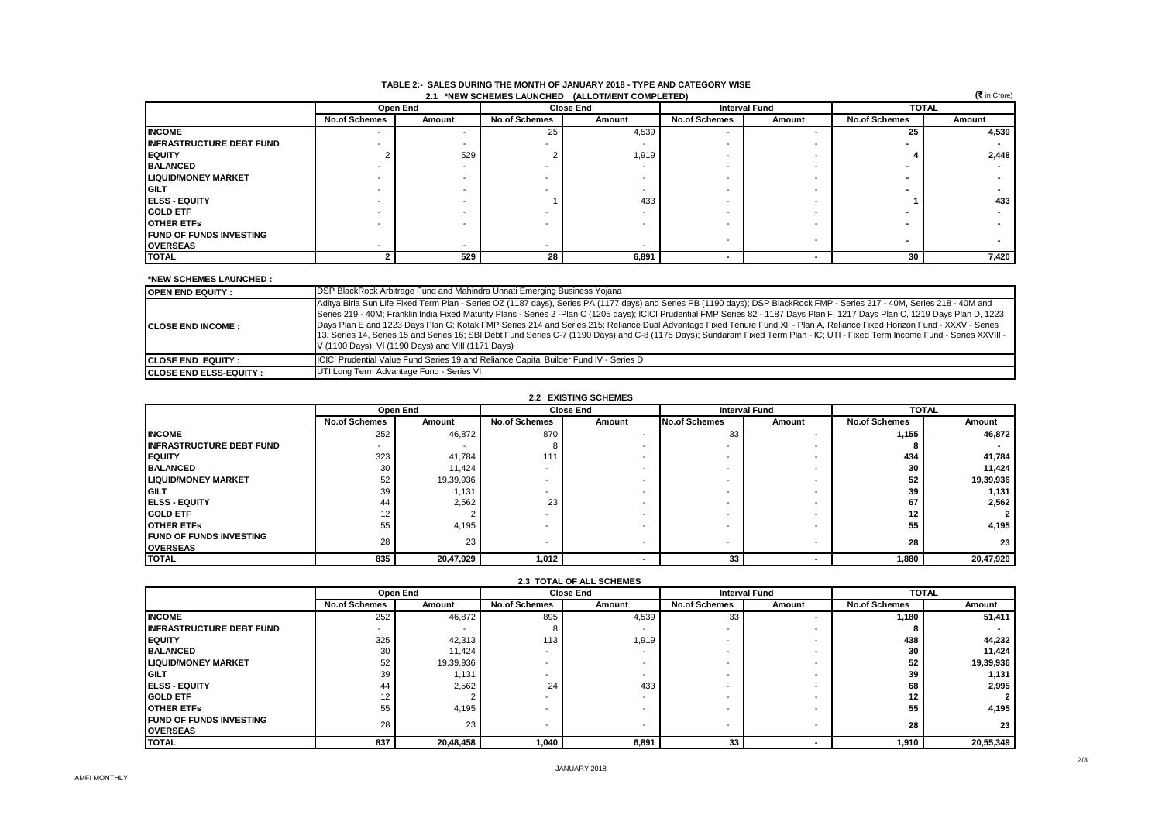| <br>(₹ in Crore)<br>2.1 *NEW SCHEMES LAUNCHED (ALLOTMENT COMPLETED) |                      |          |                      |        |                      |                      |                      |        |  |
|---------------------------------------------------------------------|----------------------|----------|----------------------|--------|----------------------|----------------------|----------------------|--------|--|
|                                                                     |                      | Open End | <b>Close End</b>     |        |                      | <b>Interval Fund</b> | <b>TOTAL</b>         |        |  |
|                                                                     | <b>No.of Schemes</b> | Amount   | <b>No.of Schemes</b> | Amount | <b>No.of Schemes</b> | Amount               | <b>No.of Schemes</b> | Amount |  |
| <b>INCOME</b>                                                       | -                    |          | 25                   | 4,539  |                      |                      | 25                   | 4,539  |  |
| <b>INFRASTRUCTURE DEBT FUND</b>                                     |                      |          |                      |        |                      |                      |                      |        |  |
| <b>IEQUITY</b>                                                      |                      | 529      |                      | 1,919  |                      |                      |                      | 2,448  |  |
| <b>BALANCED</b>                                                     |                      |          |                      |        |                      |                      |                      |        |  |
| <b>LIQUID/MONEY MARKET</b>                                          |                      |          |                      |        |                      |                      |                      |        |  |
| <b>IGILT</b>                                                        |                      |          |                      |        |                      |                      |                      |        |  |
| <b>IELSS - EQUITY</b>                                               |                      |          |                      | 433    |                      |                      |                      | 433    |  |
| <b>GOLD ETF</b>                                                     |                      |          |                      |        |                      |                      |                      |        |  |
| <b>OTHER ETFS</b>                                                   |                      |          |                      |        |                      |                      |                      |        |  |
| <b>IFUND OF FUNDS INVESTING</b>                                     |                      |          |                      |        |                      |                      |                      |        |  |
| <b>OVERSEAS</b>                                                     |                      |          | . .                  |        |                      |                      |                      |        |  |
| <b>TOTAL</b>                                                        |                      | 529      | 28                   | 6,891  |                      |                      | 30                   | 7,420  |  |

#### **TABLE 2:- SALES DURING THE MONTH OF JANUARY 2018 - TYPE AND CATEGORY WISE 2.1 \*NEW SCHEMES LAUNCHED** (ALLOTMENT

#### **\*NEW SCHEMES LAUNCHED :**

| <b>IOPEN END EQUITY :</b>       | DSP BlackRock Arbitrage Fund and Mahindra Unnati Emerging Business Yojana                                                                                                                                                                                                                                                                                                                                                                                                                                                                                                                                                                                                                                                                                                              |
|---------------------------------|----------------------------------------------------------------------------------------------------------------------------------------------------------------------------------------------------------------------------------------------------------------------------------------------------------------------------------------------------------------------------------------------------------------------------------------------------------------------------------------------------------------------------------------------------------------------------------------------------------------------------------------------------------------------------------------------------------------------------------------------------------------------------------------|
| <b>ICLOSE END INCOME:</b>       | Aditya Birla Sun Life Fixed Term Plan - Series OZ (1187 days), Series PA (1177 days) and Series PB (1190 days); DSP BlackRock FMP - Series 217 - 40M, Series 218 - 40M and<br>Series 219 - 40M; Franklin India Fixed Maturity Plans - Series 2 -Plan C (1205 days); ICICI Prudential FMP Series 82 - 1187 Days Plan F, 1217 Days Plan C, 1219 Days Plan D, 1223<br>Days Plan E and 1223 Days Plan G; Kotak FMP Series 214 and Series 215; Reliance Dual Advantage Fixed Tenure Fund XII - Plan A, Reliance Fixed Horizon Fund - XXXV - Series<br>13, Series 14, Series 15 and Series 16; SBI Debt Fund Series C-7 (1190 Days) and C-8 (1175 Days); Sundaram Fixed Term Plan - IC; UTI - Fixed Term Income Fund - Series XXVIII -<br>V (1190 Days), VI (1190 Days) and VIII (1171 Days) |
| <b>ICLOSE END EQUITY :</b>      | <b>ICICI Prudential Value Fund Series 19 and Reliance Capital Builder Fund IV - Series D</b>                                                                                                                                                                                                                                                                                                                                                                                                                                                                                                                                                                                                                                                                                           |
| <b>ICLOSE END ELSS-EQUITY :</b> | UTI Long Term Advantage Fund - Series VI                                                                                                                                                                                                                                                                                                                                                                                                                                                                                                                                                                                                                                                                                                                                               |

### **2.2 EXISTING SCHEMES**

|                                                    | Open End             |           |                          | <b>Close End</b> | <b>Interval Fund</b>     |                          | <b>TOTAL</b>         |           |
|----------------------------------------------------|----------------------|-----------|--------------------------|------------------|--------------------------|--------------------------|----------------------|-----------|
|                                                    | <b>No.of Schemes</b> | Amount    | <b>No.of Schemes</b>     | Amount           | <b>No.of Schemes</b>     | Amount                   | <b>No.of Schemes</b> | Amount    |
| <b>INCOME</b>                                      | 252                  | 46,872    | 870                      |                  | 33                       |                          | 1,155                | 46,872    |
| <b>INFRASTRUCTURE DEBT FUND</b>                    | -                    |           |                          |                  |                          |                          |                      |           |
| <b>IEQUITY</b>                                     | 323                  | 41.784    | 111                      |                  |                          |                          | 434                  | 41,784    |
| <b>BALANCED</b>                                    | 30                   | 11,424    | $\overline{\phantom{a}}$ |                  |                          |                          | 30                   | 11,424    |
| <b>LIQUID/MONEY MARKET</b>                         | 52                   | 19,39,936 | $\overline{\phantom{a}}$ |                  |                          |                          | 52                   | 19,39,936 |
| <b>IGILT</b>                                       | 39                   | 1,131     |                          |                  |                          |                          | 39                   | 1,131     |
| <b>IELSS - EQUITY</b>                              | 44                   | 2,562     | 23                       |                  |                          |                          | 67                   | 2,562     |
| <b>GOLD ETF</b>                                    | $12 \overline{ }$    |           | $\overline{\phantom{a}}$ |                  | . .                      |                          | 12                   |           |
| <b>OTHER ETFS</b>                                  | 55                   | 4,195     |                          |                  |                          |                          | 55                   | 4,195     |
| <b>IFUND OF FUNDS INVESTING</b><br><b>OVERSEAS</b> | 28                   | 23        | $\overline{\phantom{a}}$ |                  | $\overline{\phantom{0}}$ | $\overline{\phantom{a}}$ | 28                   | 23        |
| <b>TOTAL</b>                                       | 835                  | 20,47,929 | 1,012                    |                  | 33                       |                          | 1,880                | 20,47,929 |

|                                 |                      |           |                      | <b>2.3 TOTAL OF ALL SUREMES</b> |                      |                      |                      |           |
|---------------------------------|----------------------|-----------|----------------------|---------------------------------|----------------------|----------------------|----------------------|-----------|
|                                 | Open End             |           |                      | <b>Close End</b>                |                      | <b>Interval Fund</b> | <b>TOTAL</b>         |           |
|                                 | <b>No.of Schemes</b> | Amount    | <b>No.of Schemes</b> | Amount                          | <b>No.of Schemes</b> | Amount               | <b>No.of Schemes</b> | Amount    |
| <b>INCOME</b>                   | 252                  | 46,872    | 895                  | 4,539                           | 33                   |                      | 1.180                | 51,411    |
| <b>INFRASTRUCTURE DEBT FUND</b> |                      |           |                      |                                 |                      |                      |                      |           |
| <b>IEQUITY</b>                  | 325                  | 42,313    | 113                  | 1.919                           |                      |                      | 438                  | 44,232    |
| <b>BALANCED</b>                 | 30                   | 11,424    |                      |                                 |                      |                      | 30                   | 11,424    |
| <b>LIQUID/MONEY MARKET</b>      | 52                   | 19,39,936 |                      |                                 |                      |                      | 52                   | 19,39,936 |
| <b>IGILT</b>                    | 39                   | 1,131     |                      |                                 |                      |                      | 39                   | 1,131     |
| <b>IELSS - EQUITY</b>           | 44                   | 2,562     | 24                   | 433                             |                      |                      | 68                   | 2,995     |
| <b>GOLD ETF</b>                 | 12                   |           |                      |                                 |                      |                      | 12                   |           |
| <b>OTHER ETFS</b>               | 55                   | 4,195     |                      |                                 |                      |                      | 55                   | 4,195     |
| <b>IFUND OF FUNDS INVESTING</b> | 28                   | 23        |                      |                                 |                      |                      |                      |           |
| <b>OVERSEAS</b>                 |                      |           |                      |                                 |                      |                      | 28                   | 23        |
| <b>TOTAL</b>                    | 837                  | 20,48,458 | 1,040                | 6,891                           | 33                   |                      | 1,910                | 20,55,349 |

#### **2.3 TOTAL OF ALL SCHEMES**